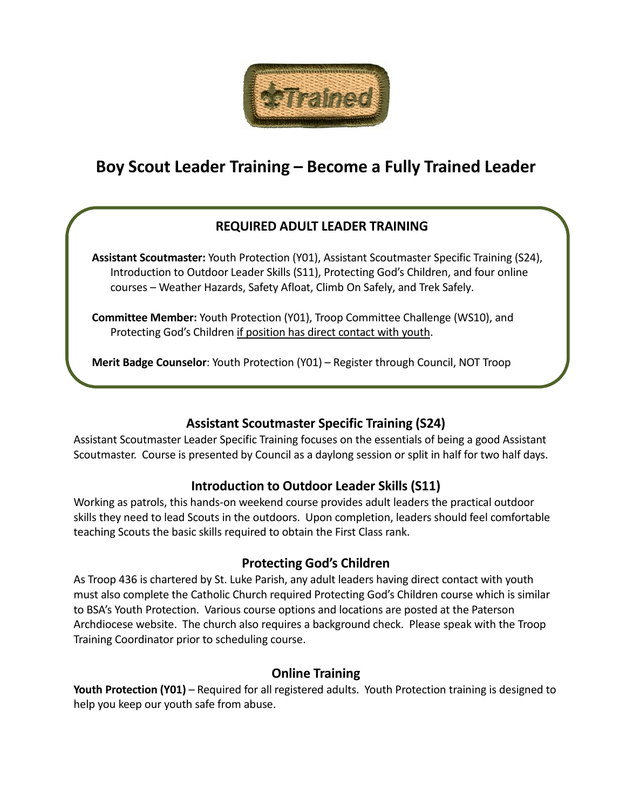

# **Boy Scout Leader Training – Become a Fully Trained Leader**

# **REQUIRED ADULT LEADER TRAINING**

**Assistant Scoutmaster:** Youth Protection (Y01), Assistant Scoutmaster Specific Training (S24), Introduction to Outdoor Leader Skills (S11), Protecting God's Children, and four online courses – Weather Hazards, Safety Afloat, Climb On Safely, and Trek Safely.

**Committee Member:** Youth Protection (Y01), Troop Committee Challenge (WS10), and Protecting God's Children if position has direct contact with youth.

**Merit Badge Counselor**: Youth Protection (Y01) – Register through Council, NOT Troop

# **Assistant Scoutmaster Specific Training (S24)**

Assistant Scoutmaster Leader Specific Training focuses on the essentials of being a good Assistant Scoutmaster. Course is presented by Council as a daylong session or split in half for two half days.

### **Introduction to Outdoor Leader Skills (S11)**

Working as patrols, this hands-on weekend course provides adult leaders the practical outdoor skills they need to lead Scouts in the outdoors. Upon completion, leaders should feel comfortable teaching Scouts the basic skills required to obtain the First Class rank.

### **Protecting God's Children**

As Troop 436 is chartered by St. Luke Parish, any adult leaders having direct contact with youth must also complete the Catholic Church required Protecting God's Children course which is similar to BSA's Youth Protection. Various course options and locations are posted at the Paterson Archdiocese website. The church also requires a background check. Please speak with the Troop Training Coordinator prior to scheduling course.

### **Online Training**

**Youth Protection (Y01)** – Required for all registered adults. Youth Protection training is designed to help you keep our youth safe from abuse.